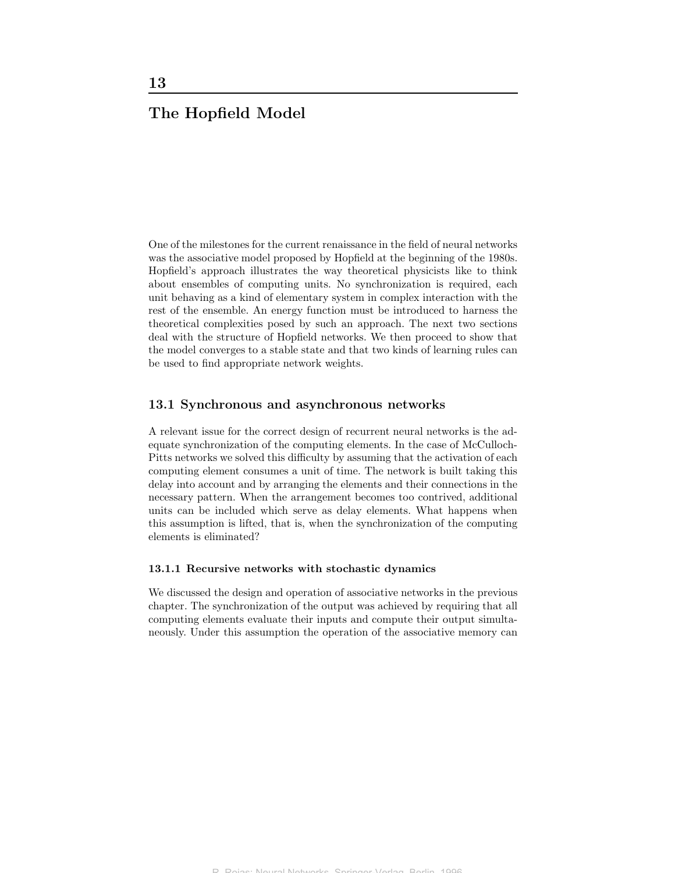One of the milestones for the current renaissance in the field of neural networks was the associative model proposed by Hopfield at the beginning of the 1980s. Hopfield's approach illustrates the way theoretical physicists like to think about ensembles of computing units. No synchronization is required, each unit behaving as a kind of elementary system in complex interaction with the rest of the ensemble. An energy function must be introduced to harness the theoretical complexities posed by such an approach. The next two sections deal with the structure of Hopfield networks. We then proceed to show that the model converges to a stable state and that two kinds of learning rules can be used to find appropriate network weights.

# **13.1 Synchronous and asynchronous networks**

A relevant issue for the correct design of recurrent neural networks is the adequate synchronization of the computing elements. In the case of McCulloch-Pitts networks we solved this difficulty by assuming that the activation of each computing element consumes a unit of time. The network is built taking this delay into account and by arranging the elements and their connections in the necessary pattern. When the arrangement becomes too contrived, additional units can be included which serve as delay elements. What happens when this assumption is lifted, that is, when the synchronization of the computing elements is eliminated?

## **13.1.1 Recursive networks with stochastic dynamics**

We discussed the design and operation of associative networks in the previous chapter. The synchronization of the output was achieved by requiring that all computing elements evaluate their inputs and compute their output simultaneously. Under this assumption the operation of the associative memory can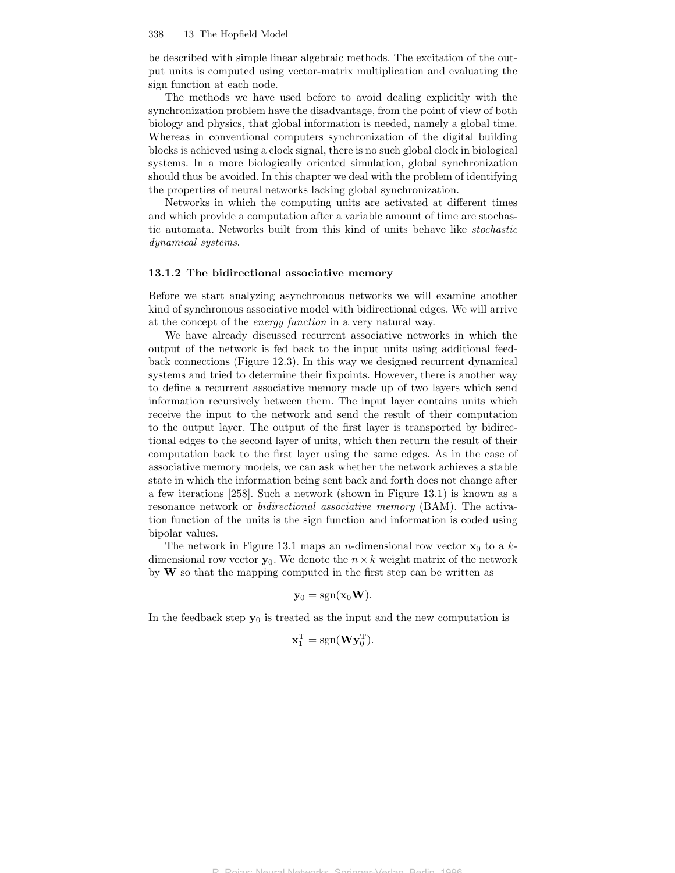be described with simple linear algebraic methods. The excitation of the output units is computed using vector-matrix multiplication and evaluating the sign function at each node.

The methods we have used before to avoid dealing explicitly with the synchronization problem have the disadvantage, from the point of view of both biology and physics, that global information is needed, namely a global time. Whereas in conventional computers synchronization of the digital building blocks is achieved using a clock signal, there is no such global clock in biological systems. In a more biologically oriented simulation, global synchronization should thus be avoided. In this chapter we deal with the problem of identifying the properties of neural networks lacking global synchronization.

Networks in which the computing units are activated at different times and which provide a computation after a variable amount of time are stochastic automata. Networks built from this kind of units behave like *stochastic dynamical systems*.

# **13.1.2 The bidirectional associative memory**

Before we start analyzing asynchronous networks we will examine another kind of synchronous associative model with bidirectional edges. We will arrive at the concept of the *energy function* in a very natural way.

We have already discussed recurrent associative networks in which the output of the network is fed back to the input units using additional feedback connections (Figure 12.3). In this way we designed recurrent dynamical systems and tried to determine their fixpoints. However, there is another way to define a recurrent associative memory made up of two layers which send information recursively between them. The input layer contains units which receive the input to the network and send the result of their computation to the output layer. The output of the first layer is transported by bidirectional edges to the second layer of units, which then return the result of their computation back to the first layer using the same edges. As in the case of associative memory models, we can ask whether the network achieves a stable state in which the information being sent back and forth does not change after a few iterations [258]. Such a network (shown in Figure 13.1) is known as a resonance network or *bidirectional associative memory* (BAM). The activation function of the units is the sign function and information is coded using bipolar values.

The network in Figure 13.1 maps an *n*-dimensional row vector  $\mathbf{x}_0$  to a kdimensional row vector  $y_0$ . We denote the  $n \times k$  weight matrix of the network by **W** so that the mapping computed in the first step can be written as

$$
\mathbf{y}_0 = \mathrm{sgn}(\mathbf{x}_0 \mathbf{W}).
$$

In the feedback step  $y_0$  is treated as the input and the new computation is

$$
\mathbf{x}_1^{\mathrm{T}} = \mathrm{sgn}(\mathbf{W}\mathbf{y}_0^{\mathrm{T}}).
$$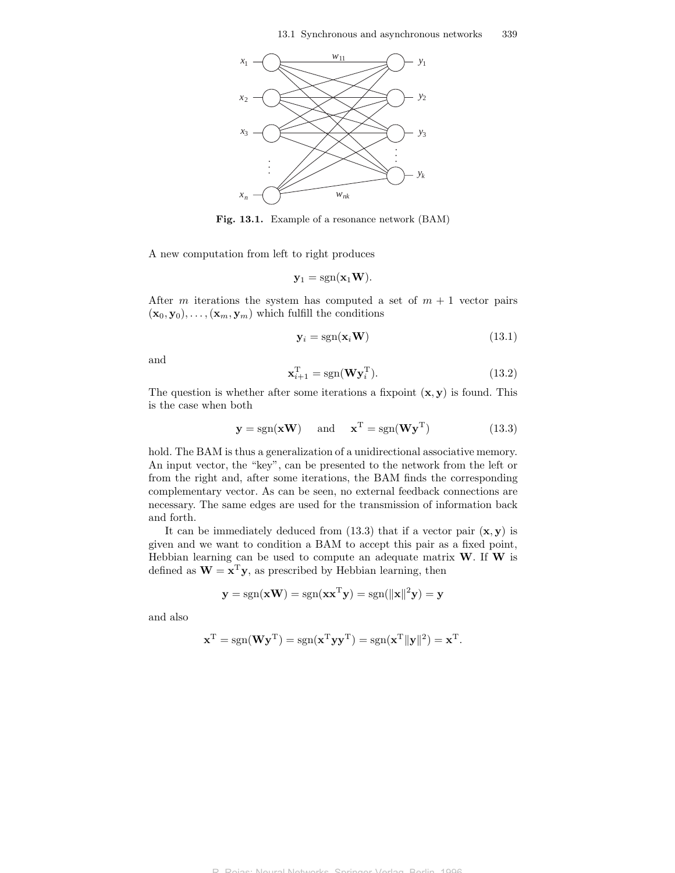

**Fig. 13.1.** Example of a resonance network (BAM)

A new computation from left to right produces

$$
\mathbf{y}_1 = \mathrm{sgn}(\mathbf{x}_1 \mathbf{W}).
$$

After m iterations the system has computed a set of  $m + 1$  vector pairs  $(\mathbf{x}_0, \mathbf{y}_0), \ldots, (\mathbf{x}_m, \mathbf{y}_m)$  which fulfill the conditions

$$
\mathbf{y}_i = \text{sgn}(\mathbf{x}_i \mathbf{W}) \tag{13.1}
$$

and

$$
\mathbf{x}_{i+1}^{\mathrm{T}} = \mathrm{sgn}(\mathbf{W}\mathbf{y}_i^{\mathrm{T}}). \tag{13.2}
$$

The question is whether after some iterations a fixpoint  $(\mathbf{x}, \mathbf{y})$  is found. This is the case when both

$$
\mathbf{y} = \text{sgn}(\mathbf{x}\mathbf{W}) \quad \text{and} \quad \mathbf{x}^{\text{T}} = \text{sgn}(\mathbf{W}\mathbf{y}^{\text{T}})
$$
 (13.3)

hold. The BAM is thus a generalization of a unidirectional associative memory. An input vector, the "key", can be presented to the network from the left or from the right and, after some iterations, the BAM finds the corresponding complementary vector. As can be seen, no external feedback connections are necessary. The same edges are used for the transmission of information back and forth.

It can be immediately deduced from  $(13.3)$  that if a vector pair  $(\mathbf{x}, \mathbf{y})$  is given and we want to condition a BAM to accept this pair as a fixed point, Hebbian learning can be used to compute an adequate matrix **W**. If **W** is defined as  $W = x^T y$ , as prescribed by Hebbian learning, then

$$
\mathbf{y} = \text{sgn}(\mathbf{x}\mathbf{W}) = \text{sgn}(\mathbf{x}\mathbf{x}^{\mathrm{T}}\mathbf{y}) = \text{sgn}(\|\mathbf{x}\|^{2}\mathbf{y}) = \mathbf{y}
$$

and also

$$
\mathbf{x}^{\mathrm{T}} = \mathrm{sgn}(\mathbf{W}\mathbf{y}^{\mathrm{T}}) = \mathrm{sgn}(\mathbf{x}^{\mathrm{T}}\mathbf{y}\mathbf{y}^{\mathrm{T}}) = \mathrm{sgn}(\mathbf{x}^{\mathrm{T}}\|\mathbf{y}\|^{2}) = \mathbf{x}^{\mathrm{T}}.
$$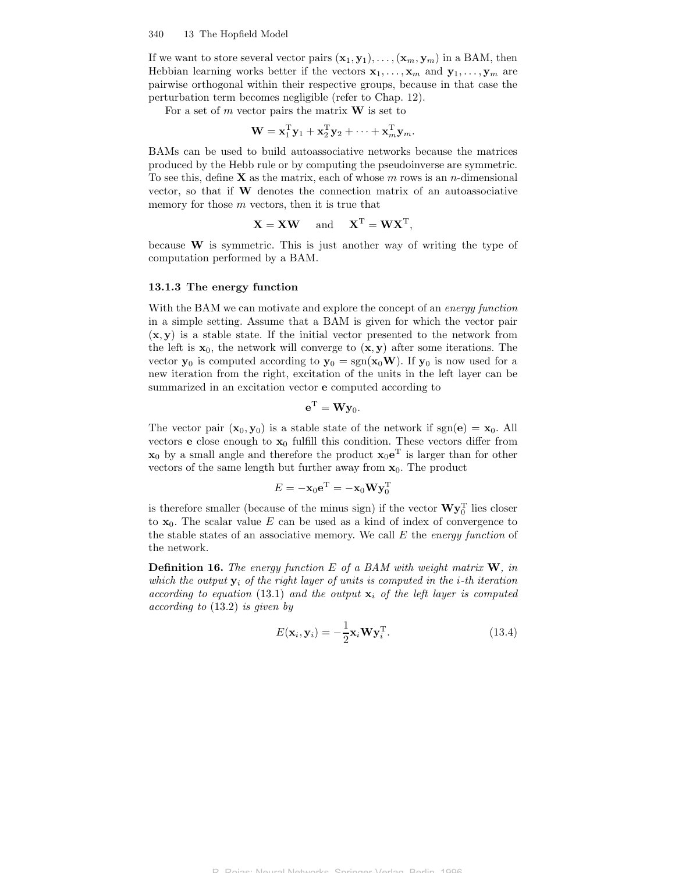If we want to store several vector pairs  $(\mathbf{x}_1, \mathbf{y}_1), \ldots, (\mathbf{x}_m, \mathbf{y}_m)$  in a BAM, then Hebbian learning works better if the vectors  $\mathbf{x}_1, \ldots, \mathbf{x}_m$  and  $\mathbf{y}_1, \ldots, \mathbf{y}_m$  are pairwise orthogonal within their respective groups, because in that case the perturbation term becomes negligible (refer to Chap. 12).

For a set of m vector pairs the matrix **W** is set to

$$
\mathbf{W} = \mathbf{x}_1^{\mathrm{T}} \mathbf{y}_1 + \mathbf{x}_2^{\mathrm{T}} \mathbf{y}_2 + \cdots + \mathbf{x}_m^{\mathrm{T}} \mathbf{y}_m.
$$

BAMs can be used to build autoassociative networks because the matrices produced by the Hebb rule or by computing the pseudoinverse are symmetric. To see this, define **X** as the matrix, each of whose m rows is an n-dimensional vector, so that if **W** denotes the connection matrix of an autoassociative memory for those  $m$  vectors, then it is true that

$$
\mathbf{X} = \mathbf{X}\mathbf{W} \quad \text{and} \quad \mathbf{X}^{\mathrm{T}} = \mathbf{W}\mathbf{X}^{\mathrm{T}},
$$

because **W** is symmetric. This is just another way of writing the type of computation performed by a BAM.

### **13.1.3 The energy function**

With the BAM we can motivate and explore the concept of an *energy function* in a simple setting. Assume that a BAM is given for which the vector pair  $(\mathbf{x}, \mathbf{y})$  is a stable state. If the initial vector presented to the network from the left is  $\mathbf{x}_0$ , the network will converge to  $(\mathbf{x}, \mathbf{y})$  after some iterations. The vector **y**<sub>0</sub> is computed according to  $y_0 = sgn(x_0 \mathbf{W})$ . If  $y_0$  is now used for a new iteration from the right, excitation of the units in the left layer can be summarized in an excitation vector **e** computed according to

$$
\mathbf{e}^{\mathrm{T}}=\mathbf{W}\mathbf{y}_0.
$$

The vector pair  $(\mathbf{x}_0, \mathbf{y}_0)$  is a stable state of the network if  $sgn(\mathbf{e}) = \mathbf{x}_0$ . All vectors **e** close enough to  $\mathbf{x}_0$  fulfill this condition. These vectors differ from  $\mathbf{x}_0$  by a small angle and therefore the product  $\mathbf{x}_0 \mathbf{e}^T$  is larger than for other vectors of the same length but further away from  $x_0$ . The product

$$
E = -\mathbf{x}_0 \mathbf{e}^{\mathrm{T}} = -\mathbf{x}_0 \mathbf{W} \mathbf{y}_0^{\mathrm{T}}
$$

is therefore smaller (because of the minus sign) if the vector  $\mathbf{W} \mathbf{y}_0^{\mathrm{T}}$  lies closer to  $x_0$ . The scalar value E can be used as a kind of index of convergence to the stable states of an associative memory. We call E the *energy function* of the network.

**Definition 16.** *The energy function* E *of a BAM with weight matrix* **W***, in which the output* **y**<sup>i</sup> *of the right layer of units is computed in the* i*-th iteration according to equation* (13.1) *and the output* **x**<sup>i</sup> *of the left layer is computed according to* (13.2) *is given by*

$$
E(\mathbf{x}_i, \mathbf{y}_i) = -\frac{1}{2}\mathbf{x}_i \mathbf{W} \mathbf{y}_i^{\mathrm{T}}.
$$
 (13.4)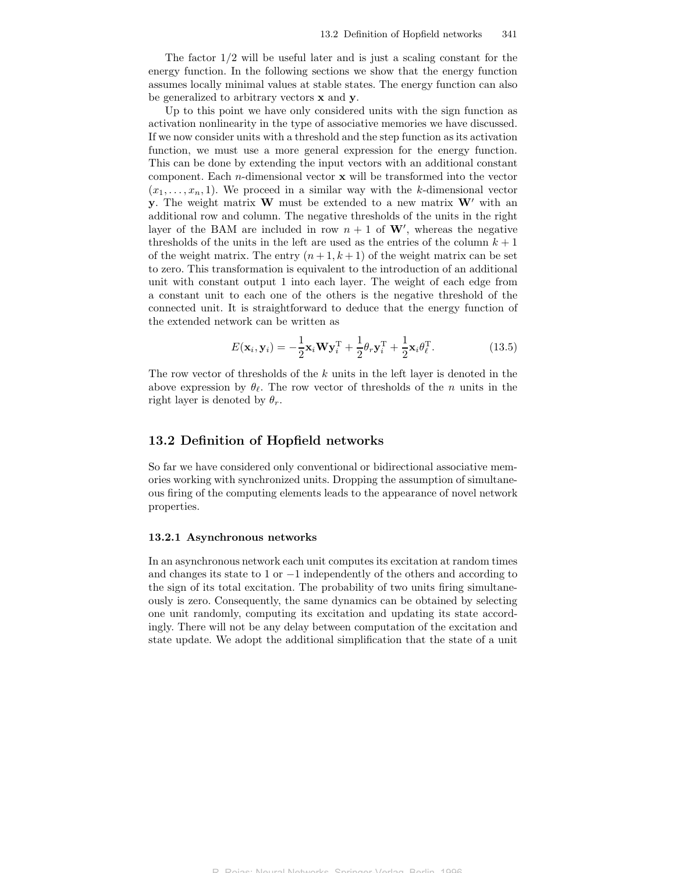The factor  $1/2$  will be useful later and is just a scaling constant for the energy function. In the following sections we show that the energy function assumes locally minimal values at stable states. The energy function can also be generalized to arbitrary vectors **x** and **y**.

Up to this point we have only considered units with the sign function as activation nonlinearity in the type of associative memories we have discussed. If we now consider units with a threshold and the step function as its activation function, we must use a more general expression for the energy function. This can be done by extending the input vectors with an additional constant component. Each n-dimensional vector **x** will be transformed into the vector  $(x_1,\ldots,x_n,1)$ . We proceed in a similar way with the k-dimensional vector **y**. The weight matrix **W** must be extended to a new matrix **W** with an additional row and column. The negative thresholds of the units in the right layer of the BAM are included in row  $n + 1$  of  $W'$ , whereas the negative thresholds of the units in the left are used as the entries of the column  $k + 1$ of the weight matrix. The entry  $(n+1, k+1)$  of the weight matrix can be set to zero. This transformation is equivalent to the introduction of an additional unit with constant output 1 into each layer. The weight of each edge from a constant unit to each one of the others is the negative threshold of the connected unit. It is straightforward to deduce that the energy function of the extended network can be written as

$$
E(\mathbf{x}_i, \mathbf{y}_i) = -\frac{1}{2}\mathbf{x}_i \mathbf{W} \mathbf{y}_i^{\mathrm{T}} + \frac{1}{2} \theta_r \mathbf{y}_i^{\mathrm{T}} + \frac{1}{2}\mathbf{x}_i \theta_\ell^{\mathrm{T}}.
$$
 (13.5)

The row vector of thresholds of the  $k$  units in the left layer is denoted in the above expression by  $\theta_{\ell}$ . The row vector of thresholds of the *n* units in the right layer is denoted by  $\theta_r$ .

# **13.2 Definition of Hopfield networks**

So far we have considered only conventional or bidirectional associative memories working with synchronized units. Dropping the assumption of simultaneous firing of the computing elements leads to the appearance of novel network properties.

### **13.2.1 Asynchronous networks**

In an asynchronous network each unit computes its excitation at random times and changes its state to 1 or −1 independently of the others and according to the sign of its total excitation. The probability of two units firing simultaneously is zero. Consequently, the same dynamics can be obtained by selecting one unit randomly, computing its excitation and updating its state accordingly. There will not be any delay between computation of the excitation and state update. We adopt the additional simplification that the state of a unit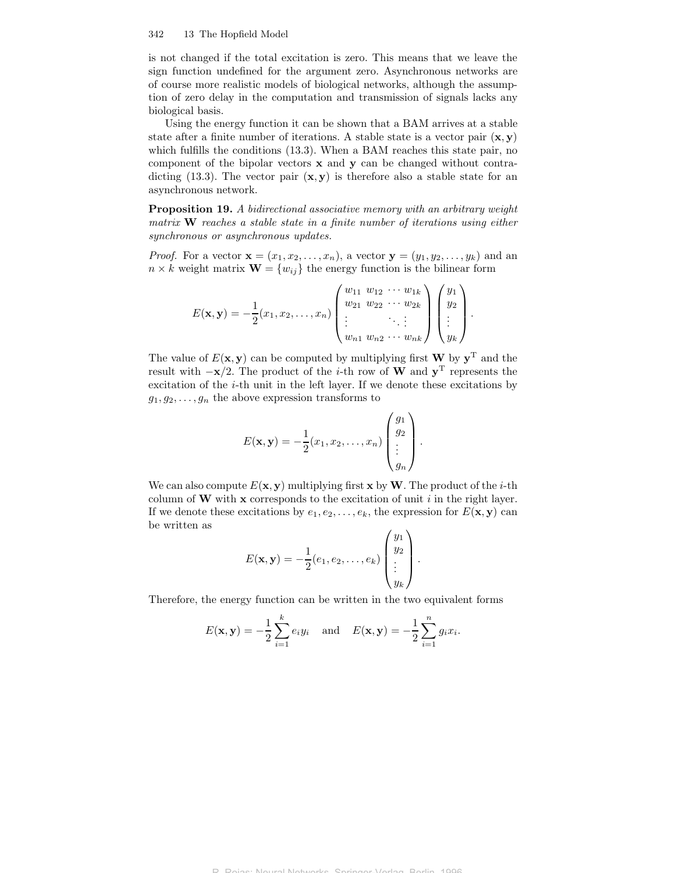is not changed if the total excitation is zero. This means that we leave the sign function undefined for the argument zero. Asynchronous networks are of course more realistic models of biological networks, although the assumption of zero delay in the computation and transmission of signals lacks any biological basis.

Using the energy function it can be shown that a BAM arrives at a stable state after a finite number of iterations. A stable state is a vector pair  $(\mathbf{x}, \mathbf{y})$ which fulfills the conditions  $(13.3)$ . When a BAM reaches this state pair, no component of the bipolar vectors **x** and **y** can be changed without contradicting (13.3). The vector pair (**x**, **y**) is therefore also a stable state for an asynchronous network.

**Proposition 19.** *A bidirectional associative memory with an arbitrary weight matrix* **W** *reaches a stable state in a finite number of iterations using either synchronous or asynchronous updates.*

*Proof.* For a vector  $\mathbf{x} = (x_1, x_2, \ldots, x_n)$ , a vector  $\mathbf{y} = (y_1, y_2, \ldots, y_k)$  and an  $n \times k$  weight matrix  $\mathbf{W} = \{w_{ij}\}\$ the energy function is the bilinear form

$$
E(\mathbf{x}, \mathbf{y}) = -\frac{1}{2}(x_1, x_2, \dots, x_n) \begin{pmatrix} w_{11} & w_{12} & \cdots & w_{1k} \\ w_{21} & w_{22} & \cdots & w_{2k} \\ \vdots & & \ddots & \vdots \\ w_{n1} & w_{n2} & \cdots & w_{nk} \end{pmatrix} \begin{pmatrix} y_1 \\ y_2 \\ \vdots \\ y_k \end{pmatrix}.
$$

The value of  $E(\mathbf{x}, \mathbf{y})$  can be computed by multiplying first **W** by  $\mathbf{y}^T$  and the result with  $-\mathbf{x}/2$ . The product of the *i*-th row of **W** and  $\mathbf{y}^T$  represents the excitation of the i-th unit in the left layer. If we denote these excitations by  $g_1, g_2, \ldots, g_n$  the above expression transforms to

$$
E(\mathbf{x}, \mathbf{y}) = -\frac{1}{2}(x_1, x_2, \dots, x_n) \begin{pmatrix} g_1 \\ g_2 \\ \vdots \\ g_n \end{pmatrix}.
$$

We can also compute  $E(\mathbf{x}, \mathbf{y})$  multiplying first **x** by **W**. The product of the *i*-th column of **W** with **x** corresponds to the excitation of unit  $i$  in the right layer. If we denote these excitations by  $e_1, e_2, \ldots, e_k$ , the expression for  $E(\mathbf{x}, \mathbf{y})$  can be written as  $\lambda$ 

$$
E(\mathbf{x}, \mathbf{y}) = -\frac{1}{2}(e_1, e_2, \dots, e_k) \begin{pmatrix} y_1 \\ y_2 \\ \vdots \\ y_k \end{pmatrix}.
$$

Therefore, the energy function can be written in the two equivalent forms

$$
E(\mathbf{x}, \mathbf{y}) = -\frac{1}{2} \sum_{i=1}^{k} e_i y_i
$$
 and  $E(\mathbf{x}, \mathbf{y}) = -\frac{1}{2} \sum_{i=1}^{n} g_i x_i$ .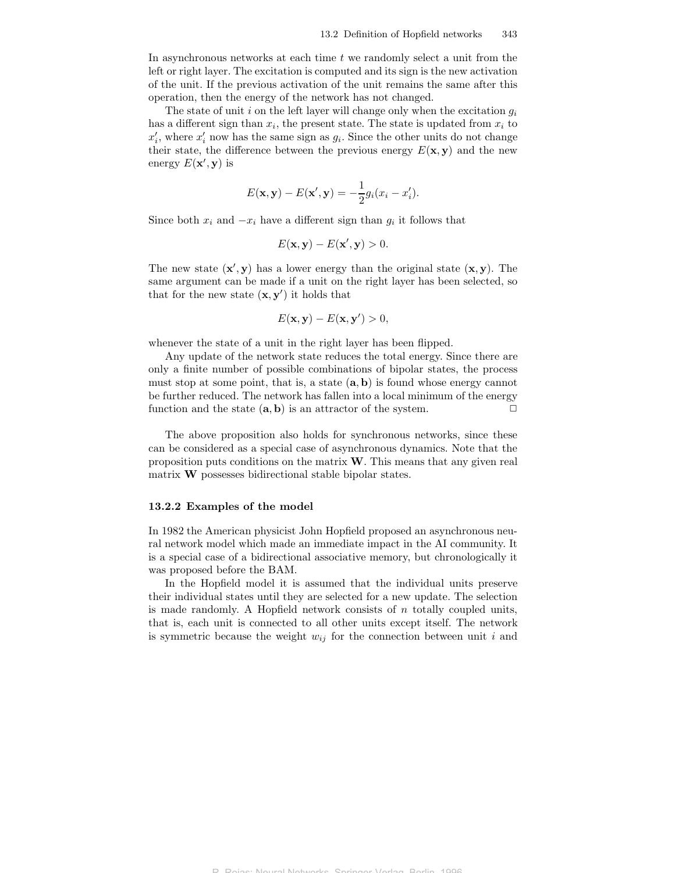In asynchronous networks at each time  $t$  we randomly select a unit from the left or right layer. The excitation is computed and its sign is the new activation of the unit. If the previous activation of the unit remains the same after this operation, then the energy of the network has not changed.

The state of unit i on the left layer will change only when the excitation  $q_i$ has a different sign than  $x_i$ , the present state. The state is updated from  $x_i$  to  $x_i'$ , where  $x_i'$  now has the same sign as  $g_i$ . Since the other units do not change their state, the difference between the previous energy  $E(\mathbf{x}, \mathbf{y})$  and the new energy  $E(\mathbf{x}', \mathbf{y})$  is

$$
E(\mathbf{x}, \mathbf{y}) - E(\mathbf{x}', \mathbf{y}) = -\frac{1}{2}g_i(x_i - x'_i).
$$

Since both  $x_i$  and  $-x_i$  have a different sign than  $g_i$  it follows that

$$
E(\mathbf{x}, \mathbf{y}) - E(\mathbf{x}', \mathbf{y}) > 0.
$$

The new state  $(\mathbf{x}', \mathbf{y})$  has a lower energy than the original state  $(\mathbf{x}, \mathbf{y})$ . The same argument can be made if a unit on the right layer has been selected, so that for the new state  $(\mathbf{x}, \mathbf{y}')$  it holds that

$$
E(\mathbf{x}, \mathbf{y}) - E(\mathbf{x}, \mathbf{y}') > 0,
$$

whenever the state of a unit in the right layer has been flipped.

Any update of the network state reduces the total energy. Since there are only a finite number of possible combinations of bipolar states, the process must stop at some point, that is, a state (**a**, **b**) is found whose energy cannot be further reduced. The network has fallen into a local minimum of the energy function and the state  $(a, b)$  is an attractor of the system.  $\Box$ 

The above proposition also holds for synchronous networks, since these can be considered as a special case of asynchronous dynamics. Note that the proposition puts conditions on the matrix **W**. This means that any given real matrix **W** possesses bidirectional stable bipolar states.

# **13.2.2 Examples of the model**

In 1982 the American physicist John Hopfield proposed an asynchronous neural network model which made an immediate impact in the AI community. It is a special case of a bidirectional associative memory, but chronologically it was proposed before the BAM.

In the Hopfield model it is assumed that the individual units preserve their individual states until they are selected for a new update. The selection is made randomly. A Hopfield network consists of  $n$  totally coupled units, that is, each unit is connected to all other units except itself. The network is symmetric because the weight  $w_{ij}$  for the connection between unit i and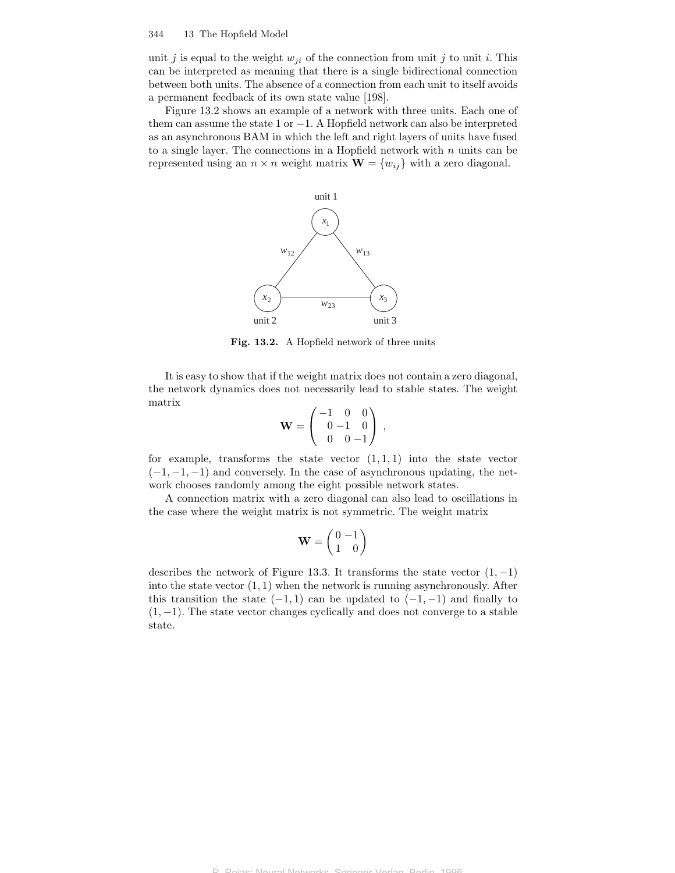unit j is equal to the weight  $w_{ji}$  of the connection from unit j to unit i. This can be interpreted as meaning that there is a single bidirectional connection between both units. The absence of a connection from each unit to itself avoids a permanent feedback of its own state value [198].

Figure 13.2 shows an example of a network with three units. Each one of them can assume the state 1 or −1. A Hopfield network can also be interpreted as an asynchronous BAM in which the left and right layers of units have fused to a single layer. The connections in a Hopfield network with  $n$  units can be represented using an  $n \times n$  weight matrix  $\mathbf{W} = \{w_{ij}\}\$  with a zero diagonal.



**Fig. 13.2.** A Hopfield network of three units

It is easy to show that if the weight matrix does not contain a zero diagonal, the network dynamics does not necessarily lead to stable states. The weight matrix

$$
\mathbf{W} = \begin{pmatrix} -1 & 0 & 0 \\ 0 & -1 & 0 \\ 0 & 0 & -1 \end{pmatrix} ,
$$

for example, transforms the state vector  $(1, 1, 1)$  into the state vector  $(-1, -1, -1)$  and conversely. In the case of asynchronous updating, the network chooses randomly among the eight possible network states.

A connection matrix with a zero diagonal can also lead to oscillations in the case where the weight matrix is not symmetric. The weight matrix

$$
\mathbf{W} = \begin{pmatrix} 0 & -1 \\ 1 & 0 \end{pmatrix}
$$

describes the network of Figure 13.3. It transforms the state vector  $(1, -1)$ into the state vector  $(1, 1)$  when the network is running asynchronously. After this transition the state  $(-1, 1)$  can be updated to  $(-1, -1)$  and finally to  $(1, -1)$ . The state vector changes cyclically and does not converge to a stable state.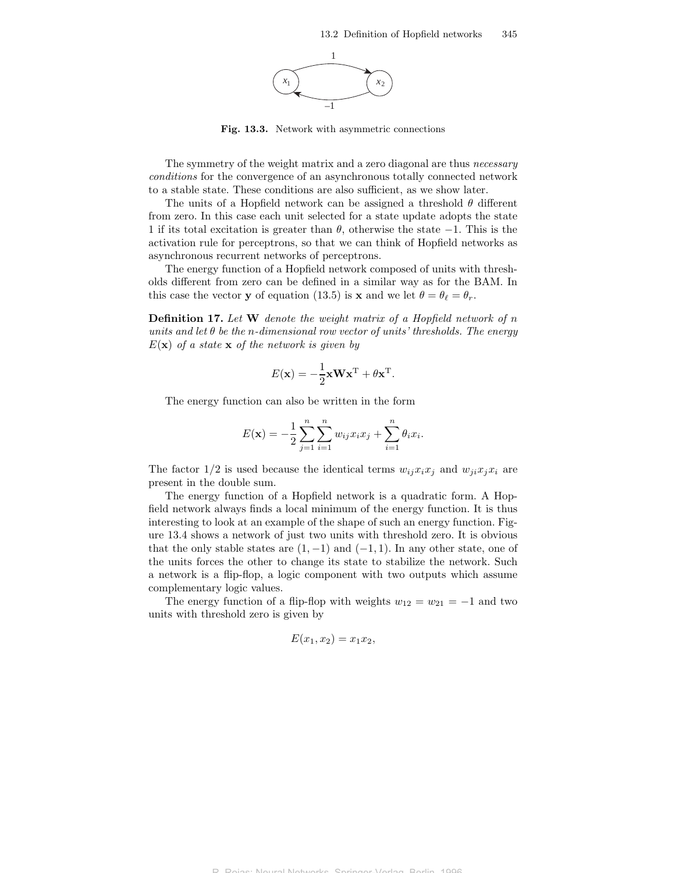

**Fig. 13.3.** Network with asymmetric connections

The symmetry of the weight matrix and a zero diagonal are thus *necessary conditions* for the convergence of an asynchronous totally connected network to a stable state. These conditions are also sufficient, as we show later.

The units of a Hopfield network can be assigned a threshold  $\theta$  different from zero. In this case each unit selected for a state update adopts the state 1 if its total excitation is greater than  $\theta$ , otherwise the state  $-1$ . This is the activation rule for perceptrons, so that we can think of Hopfield networks as asynchronous recurrent networks of perceptrons.

The energy function of a Hopfield network composed of units with thresholds different from zero can be defined in a similar way as for the BAM. In this case the vector **y** of equation (13.5) is **x** and we let  $\theta = \theta_{\ell} = \theta_r$ .

**Definition 17.** *Let* **W** *denote the weight matrix of a Hopfield network of* n *units and let* θ *be the* n*-dimensional row vector of units' thresholds. The energy*  $E(\mathbf{x})$  *of a state* **x** *of the network is given by* 

$$
E(\mathbf{x}) = -\frac{1}{2}\mathbf{x}\mathbf{W}\mathbf{x}^{\mathrm{T}} + \theta\mathbf{x}^{\mathrm{T}}.
$$

The energy function can also be written in the form

$$
E(\mathbf{x}) = -\frac{1}{2} \sum_{j=1}^{n} \sum_{i=1}^{n} w_{ij} x_i x_j + \sum_{i=1}^{n} \theta_i x_i.
$$

The factor  $1/2$  is used because the identical terms  $w_{ij}x_ix_j$  and  $w_{ji}x_jx_i$  are present in the double sum.

The energy function of a Hopfield network is a quadratic form. A Hopfield network always finds a local minimum of the energy function. It is thus interesting to look at an example of the shape of such an energy function. Figure 13.4 shows a network of just two units with threshold zero. It is obvious that the only stable states are  $(1, -1)$  and  $(-1, 1)$ . In any other state, one of the units forces the other to change its state to stabilize the network. Such a network is a flip-flop, a logic component with two outputs which assume complementary logic values.

The energy function of a flip-flop with weights  $w_{12} = w_{21} = -1$  and two units with threshold zero is given by

$$
E(x_1,x_2)=x_1x_2,
$$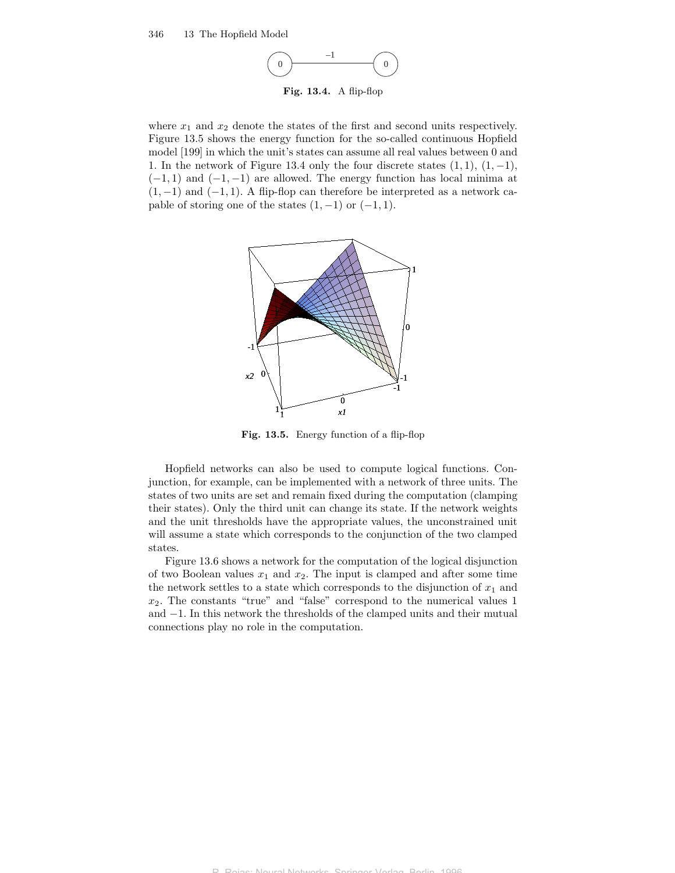

**Fig. 13.4.** A flip-flop

where  $x_1$  and  $x_2$  denote the states of the first and second units respectively. Figure 13.5 shows the energy function for the so-called continuous Hopfield model [199] in which the unit's states can assume all real values between 0 and 1. In the network of Figure 13.4 only the four discrete states  $(1, 1), (1, -1),$  $(-1, 1)$  and  $(-1, -1)$  are allowed. The energy function has local minima at  $(1, -1)$  and  $(-1, 1)$ . A flip-flop can therefore be interpreted as a network capable of storing one of the states  $(1, -1)$  or  $(-1, 1)$ .



Fig. 13.5. Energy function of a flip-flop

Hopfield networks can also be used to compute logical functions. Conjunction, for example, can be implemented with a network of three units. The states of two units are set and remain fixed during the computation (clamping their states). Only the third unit can change its state. If the network weights and the unit thresholds have the appropriate values, the unconstrained unit will assume a state which corresponds to the conjunction of the two clamped states.

Figure 13.6 shows a network for the computation of the logical disjunction of two Boolean values  $x_1$  and  $x_2$ . The input is clamped and after some time the network settles to a state which corresponds to the disjunction of  $x_1$  and  $x_2$ . The constants "true" and "false" correspond to the numerical values 1 and −1. In this network the thresholds of the clamped units and their mutual connections play no role in the computation.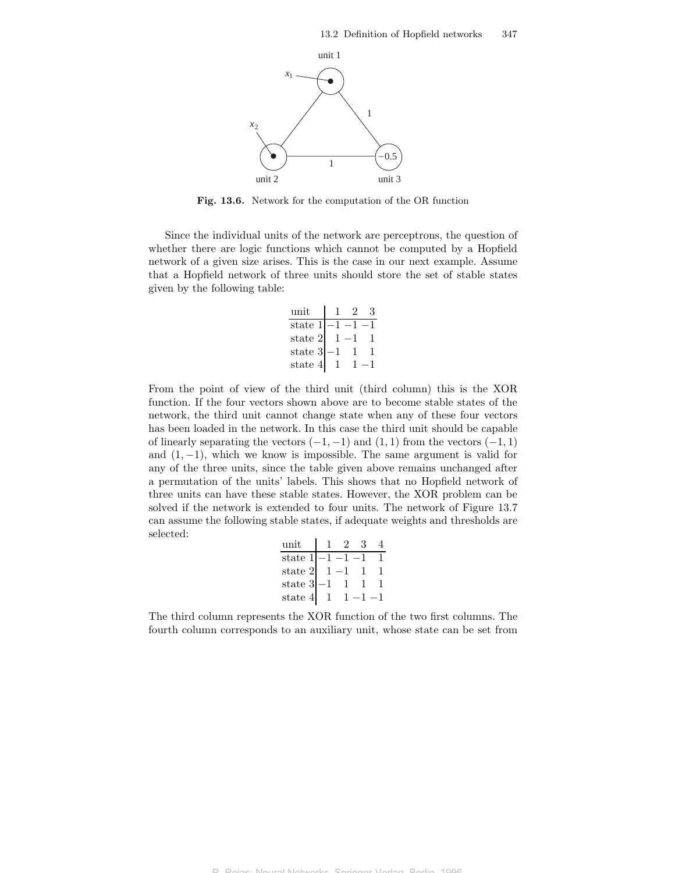

**Fig. 13.6.** Network for the computation of the OR function

Since the individual units of the network are perceptrons, the question of whether there are logic functions which cannot be computed by a Hopfield network of a given size arises. This is the case in our next example. Assume that a Hopfield network of three units should store the set of stable states given by the following table:

| unit             |  |  |
|------------------|--|--|
| $_{\rm state}$ 1 |  |  |
| state 2          |  |  |
| state 3          |  |  |
| state 4          |  |  |

From the point of view of the third unit (third column) this is the XOR function. If the four vectors shown above are to become stable states of the network, the third unit cannot change state when any of these four vectors has been loaded in the network. In this case the third unit should be capable of linearly separating the vectors  $(-1, -1)$  and  $(1, 1)$  from the vectors  $(-1, 1)$ and  $(1, -1)$ , which we know is impossible. The same argument is valid for any of the three units, since the table given above remains unchanged after a permutation of the units' labels. This shows that no Hopfield network of three units can have these stable states. However, the XOR problem can be solved if the network is extended to four units. The network of Figure 13.7 can assume the following stable states, if adequate weights and thresholds are selected:

| unit    |  |  |
|---------|--|--|
| state 1 |  |  |
| state 2 |  |  |
| state 3 |  |  |
| state 4 |  |  |

The third column represents the XOR function of the two first columns. The fourth column corresponds to an auxiliary unit, whose state can be set from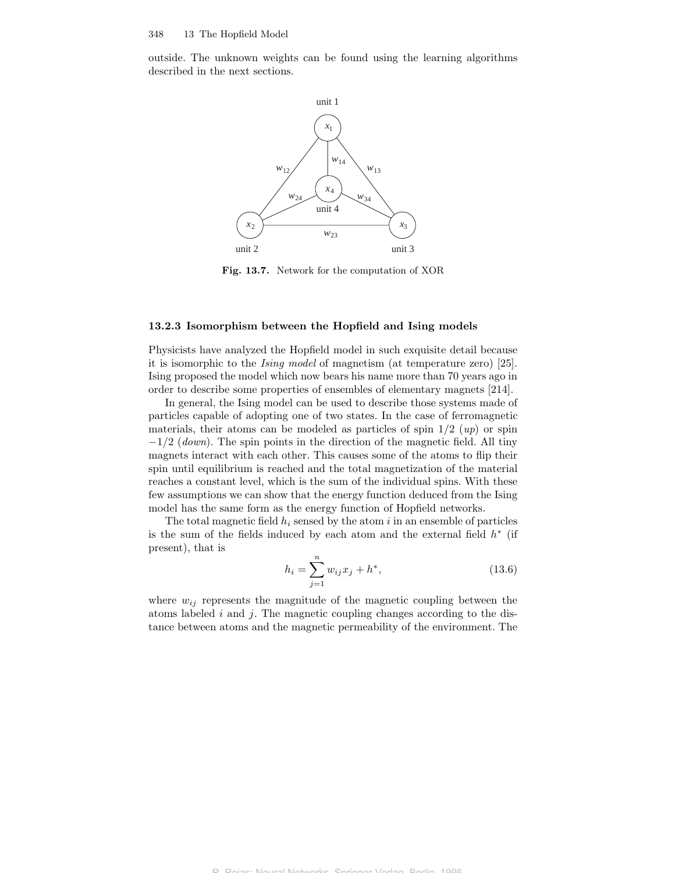outside. The unknown weights can be found using the learning algorithms described in the next sections.



**Fig. 13.7.** Network for the computation of XOR

### **13.2.3 Isomorphism between the Hopfield and Ising models**

Physicists have analyzed the Hopfield model in such exquisite detail because it is isomorphic to the *Ising model* of magnetism (at temperature zero) [25]. Ising proposed the model which now bears his name more than 70 years ago in order to describe some properties of ensembles of elementary magnets [214].

In general, the Ising model can be used to describe those systems made of particles capable of adopting one of two states. In the case of ferromagnetic materials, their atoms can be modeled as particles of spin 1/2 (*up*) or spin −1/2 (*down*). The spin points in the direction of the magnetic field. All tiny magnets interact with each other. This causes some of the atoms to flip their spin until equilibrium is reached and the total magnetization of the material reaches a constant level, which is the sum of the individual spins. With these few assumptions we can show that the energy function deduced from the Ising model has the same form as the energy function of Hopfield networks.

The total magnetic field  $h_i$  sensed by the atom i in an ensemble of particles is the sum of the fields induced by each atom and the external field  $h^*$  (if present), that is

$$
h_i = \sum_{j=1}^{n} w_{ij} x_j + h^*,
$$
\n(13.6)

where  $w_{ij}$  represents the magnitude of the magnetic coupling between the atoms labeled  $i$  and  $j$ . The magnetic coupling changes according to the distance between atoms and the magnetic permeability of the environment. The